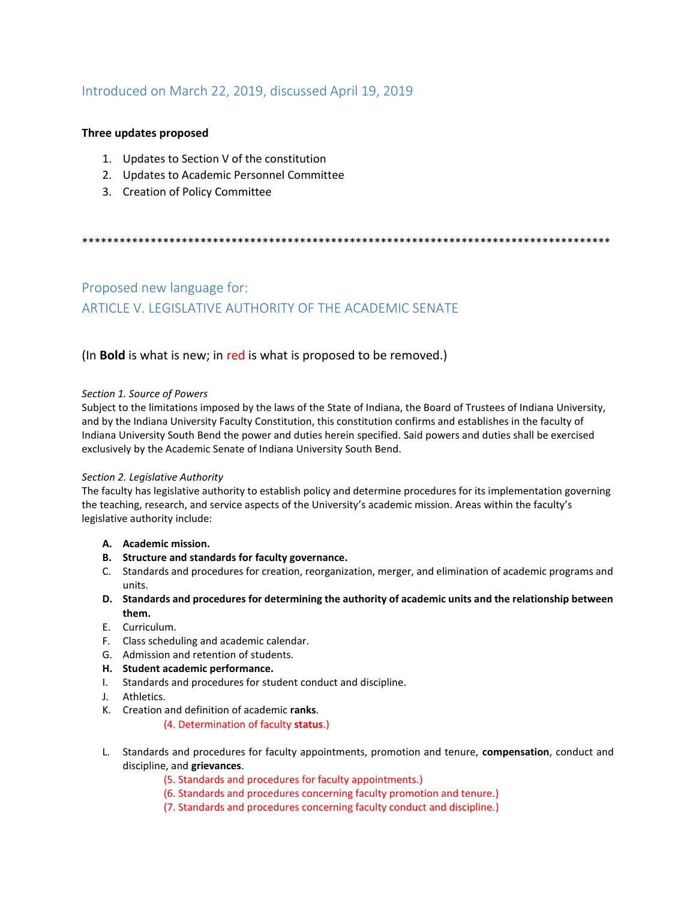## Introduced on March 22, 2019, discussed April 19, 2019

#### **Three updates proposed**

- 1. Updates to Section V of the constitution
- 2. Updates to Academic Personnel Committee
- 3. Creation of Policy Committee

\*\*\*\*\*\*\*\*\*\*\*\*\*\*\*\*\*\*\*\*\*\*\*\*\*\*\*\*\*\*\*\*\*\*\*\*\*\*\*\*\*\*\*\*\*\*\*\*\*\*\*\*\*\*\*\*\*\*\*\*\*\*\*\*\*\*\*\*\*\*\*\*\*\*\*\*\*\*\*\*\*\*\*\*\*

# Proposed new language for: ARTICLE V. LEGISLATIVE AUTHORITY OF THE ACADEMIC SENATE

### (In **Bold** is what is new; in red is what is proposed to be removed.)

#### *Section 1. Source of Powers*

Subject to the limitations imposed by the laws of the State of Indiana, the Board of Trustees of Indiana University, and by the Indiana University Faculty Constitution, this constitution confirms and establishes in the faculty of Indiana University South Bend the power and duties herein specified. Said powers and duties shall be exercised exclusively by the Academic Senate of Indiana University South Bend.

#### *Section 2. Legislative Authority*

The faculty has legislative authority to establish policy and determine procedures for its implementation governing the teaching, research, and service aspects of the University's academic mission. Areas within the faculty's legislative authority include:

- **A. Academic mission.**
- **B. Structure and standards for faculty governance.**
- C. Standards and procedures for creation, reorganization, merger, and elimination of academic programs and units.
- **D. Standards and procedures for determining the authority of academic units and the relationship between them.**
- E. Curriculum.
- F. Class scheduling and academic calendar.
- G. Admission and retention of students.
- **H. Student academic performance.**
- I. Standards and procedures for student conduct and discipline.
- J. Athletics.
- K. Creation and definition of academic **ranks**. (4. Determination of faculty **status**.)
- L. Standards and procedures for faculty appointments, promotion and tenure, **compensation**, conduct and discipline, and **grievances**.
	- (5. Standards and procedures for faculty appointments.)
	- (6. Standards and procedures concerning faculty promotion and tenure.)
	- (7. Standards and procedures concerning faculty conduct and discipline.)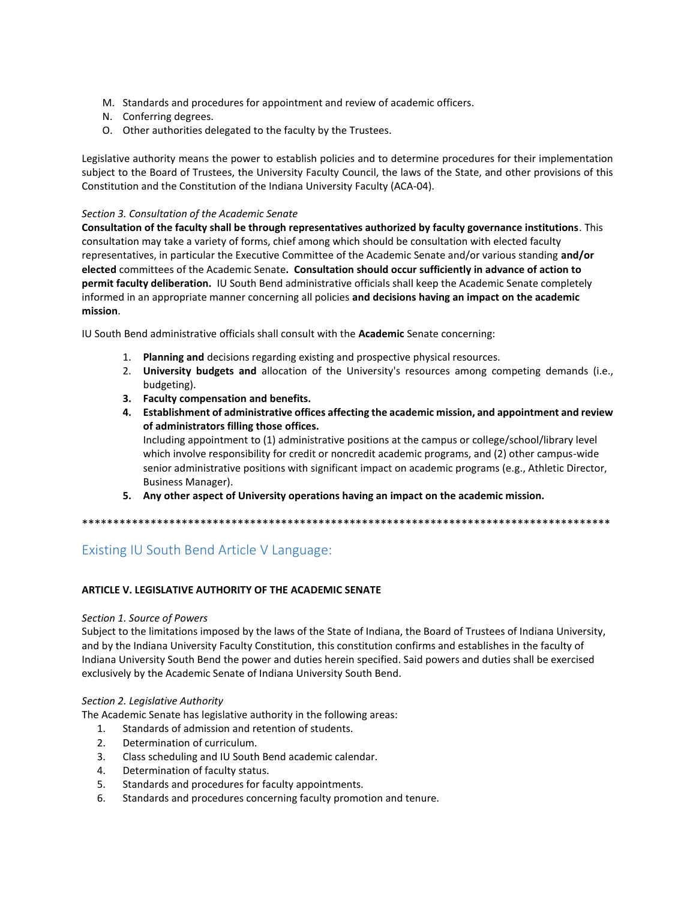- M. Standards and procedures for appointment and review of academic officers.
- N. Conferring degrees.
- O. Other authorities delegated to the faculty by the Trustees.

Legislative authority means the power to establish policies and to determine procedures for their implementation subject to the Board of Trustees, the University Faculty Council, the laws of the State, and other provisions of this Constitution and the Constitution of the Indiana University Faculty (ACA-04).

#### Section 3. Consultation of the Academic Senate

Consultation of the faculty shall be through representatives authorized by faculty governance institutions. This consultation may take a variety of forms, chief among which should be consultation with elected faculty representatives, in particular the Executive Committee of the Academic Senate and/or various standing and/or elected committees of the Academic Senate. Consultation should occur sufficiently in advance of action to permit faculty deliberation. IU South Bend administrative officials shall keep the Academic Senate completely informed in an appropriate manner concerning all policies and decisions having an impact on the academic mission.

IU South Bend administrative officials shall consult with the Academic Senate concerning:

- 1. Planning and decisions regarding existing and prospective physical resources.
- 2. University budgets and allocation of the University's resources among competing demands (i.e., budgeting).
- 3. Faculty compensation and benefits.
- 4. Establishment of administrative offices affecting the academic mission, and appointment and review of administrators filling those offices.

Including appointment to (1) administrative positions at the campus or college/school/library level which involve responsibility for credit or noncredit academic programs, and (2) other campus-wide senior administrative positions with significant impact on academic programs (e.g., Athletic Director, Business Manager).

5. Any other aspect of University operations having an impact on the academic mission.

# Existing IU South Bend Article V Language:

#### ARTICLE V. LEGISLATIVE AUTHORITY OF THE ACADEMIC SENATE

#### Section 1. Source of Powers

Subject to the limitations imposed by the laws of the State of Indiana, the Board of Trustees of Indiana University, and by the Indiana University Faculty Constitution, this constitution confirms and establishes in the faculty of Indiana University South Bend the power and duties herein specified. Said powers and duties shall be exercised exclusively by the Academic Senate of Indiana University South Bend.

#### Section 2. Legislative Authority

The Academic Senate has legislative authority in the following areas:

- $1.$ Standards of admission and retention of students.
- $2.$ Determination of curriculum.
- Class scheduling and IU South Bend academic calendar.  $3.$
- 4. Determination of faculty status.
- $5.$ Standards and procedures for faculty appointments.
- 6. Standards and procedures concerning faculty promotion and tenure.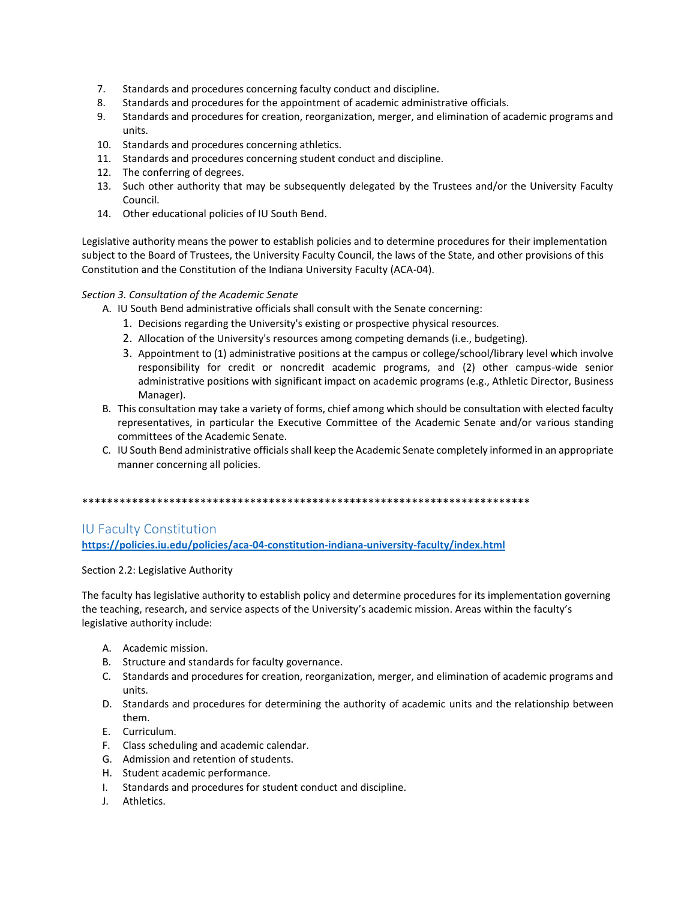- 7. Standards and procedures concerning faculty conduct and discipline.
- 8. Standards and procedures for the appointment of academic administrative officials.
- 9. Standards and procedures for creation, reorganization, merger, and elimination of academic programs and units.
- 10. Standards and procedures concerning athletics.
- 11. Standards and procedures concerning student conduct and discipline.
- 12. The conferring of degrees.
- 13. Such other authority that may be subsequently delegated by the Trustees and/or the University Faculty Council.
- 14. Other educational policies of IU South Bend.

Legislative authority means the power to establish policies and to determine procedures for their implementation subject to the Board of Trustees, the University Faculty Council, the laws of the State, and other provisions of this Constitution and the Constitution of the Indiana University Faculty (ACA-04).

#### *Section 3. Consultation of the Academic Senate*

A. IU South Bend administrative officials shall consult with the Senate concerning:

- 1. Decisions regarding the University's existing or prospective physical resources.
- 2. Allocation of the University's resources among competing demands (i.e., budgeting).
- 3. Appointment to (1) administrative positions at the campus or college/school/library level which involve responsibility for credit or noncredit academic programs, and (2) other campus-wide senior administrative positions with significant impact on academic programs (e.g., Athletic Director, Business Manager).
- B. This consultation may take a variety of forms, chief among which should be consultation with elected faculty representatives, in particular the Executive Committee of the Academic Senate and/or various standing committees of the Academic Senate.
- C. IU South Bend administrative officials shall keep the Academic Senate completely informed in an appropriate manner concerning all policies.

\*\*\*\*\*\*\*\*\*\*\*\*\*\*\*\*\*\*\*\*\*\*\*\*\*\*\*\*\*\*\*\*\*\*\*\*\*\*\*\*\*\*\*\*\*\*\*\*\*\*\*\*\*\*\*\*\*\*\*\*\*\*\*\*\*\*\*\*\*\*\*\*

## IU Faculty Constitution

**<https://policies.iu.edu/policies/aca-04-constitution-indiana-university-faculty/index.html>**

#### Section 2.2: Legislative Authority

The faculty has legislative authority to establish policy and determine procedures for its implementation governing the teaching, research, and service aspects of the University's academic mission. Areas within the faculty's legislative authority include:

- A. Academic mission.
- B. Structure and standards for faculty governance.
- C. Standards and procedures for creation, reorganization, merger, and elimination of academic programs and units.
- D. Standards and procedures for determining the authority of academic units and the relationship between them.
- E. Curriculum.
- F. Class scheduling and academic calendar.
- G. Admission and retention of students.
- H. Student academic performance.
- I. Standards and procedures for student conduct and discipline.
- J. Athletics.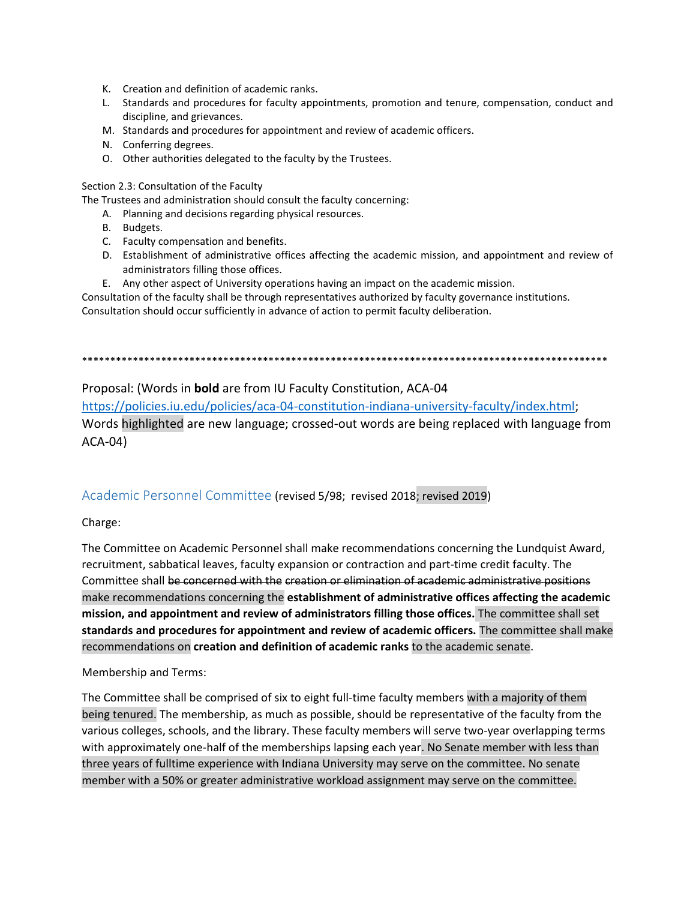- K. Creation and definition of academic ranks.
- L. Standards and procedures for faculty appointments, promotion and tenure, compensation, conduct and discipline, and grievances.
- M. Standards and procedures for appointment and review of academic officers.
- N. Conferring degrees.
- O. Other authorities delegated to the faculty by the Trustees.

Section 2.3: Consultation of the Faculty

The Trustees and administration should consult the faculty concerning:

- A. Planning and decisions regarding physical resources.
- B. Budgets.
- C. Faculty compensation and benefits.
- D. Establishment of administrative offices affecting the academic mission, and appointment and review of administrators filling those offices.
- E. Any other aspect of University operations having an impact on the academic mission.

Consultation of the faculty shall be through representatives authorized by faculty governance institutions. Consultation should occur sufficiently in advance of action to permit faculty deliberation.

#### 

Proposal: (Words in bold are from IU Faculty Constitution, ACA-04 https://policies.iu.edu/policies/aca-04-constitution-indiana-university-faculty/index.html; Words highlighted are new language; crossed-out words are being replaced with language from  $ACA-04)$ 

### Academic Personnel Committee (revised 5/98; revised 2018; revised 2019)

Charge:

The Committee on Academic Personnel shall make recommendations concerning the Lundquist Award, recruitment, sabbatical leaves, faculty expansion or contraction and part-time credit faculty. The Committee shall be concerned with the creation or elimination of academic administrative positions make recommendations concerning the establishment of administrative offices affecting the academic mission, and appointment and review of administrators filling those offices. The committee shall set standards and procedures for appointment and review of academic officers. The committee shall make recommendations on creation and definition of academic ranks to the academic senate.

#### Membership and Terms:

The Committee shall be comprised of six to eight full-time faculty members with a majority of them being tenured. The membership, as much as possible, should be representative of the faculty from the various colleges, schools, and the library. These faculty members will serve two-year overlapping terms with approximately one-half of the memberships lapsing each year. No Senate member with less than three years of fulltime experience with Indiana University may serve on the committee. No senate member with a 50% or greater administrative workload assignment may serve on the committee.